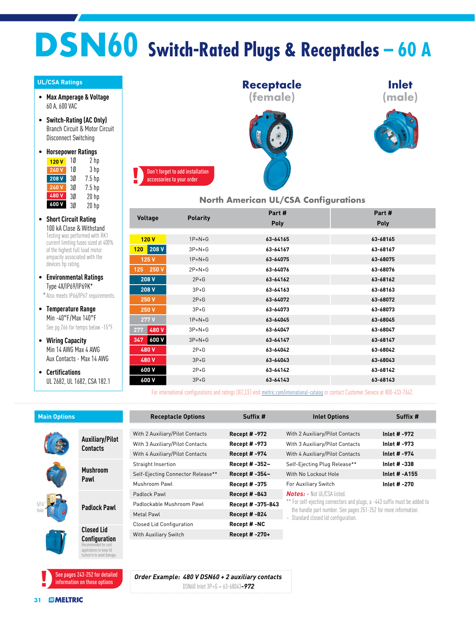## **DSN60 Switch-Rated Plugs & Receptacles – 60 A**

## **UL/CSA Ratings**

- **Max Amperage & Voltage** 60 A, 600 VAC
- **Switch-Rating (AC Only)** Branch Circuit & Motor Circuit Disconnect Switching
- **Horsepower Ratings** <mark>120 V</mark> 1Ø 2 hp

| 240V  | 10 | 3 <sub>hp</sub> |
|-------|----|-----------------|
| 208 V | 30 | $7.5$ hp        |
| 240 V | 30 | $7.5$ hp        |
| 480V  | 3Ø | $20$ hp         |
| 600 V | 3Ø | $20$ hp         |

- **Short Circuit Rating** 100 kA Close & Withstand Testing was performed with RK1 current limiting fuses sized at 400% of the highest full load motor ampacity associated with the devices hp rating.
- **Environmental Ratings** Type 4X/IP69/IP69K\* \*Also meets IP66/IP67 requirements.
- **Temperature Range** Min -40°F/Max 140°F See pg 266 for temps below -15°F.
- **Wiring Capacity** Min 14 AWG Max 4 AWG Aux Contacts - Max 14 AWG
- **Certifications** UL 2682, UL 1682, CSA 182.1



## **North American UL/CSA Configurations**

**Inlet (male)**

|  |                |                 | Part #      | Part #   |
|--|----------------|-----------------|-------------|----------|
|  | <b>Voltage</b> | <b>Polarity</b> | <b>Poly</b> | Poly     |
|  |                |                 |             |          |
|  | 120V           | $1P+N+G$        | 63-64165    | 63-68165 |
|  | 208 V<br>120   | $3P+N+G$        | 63-64167    | 63-68167 |
|  | 125 V          | $1P+N+G$        | 63-64075    | 63-68075 |
|  | 125 250 V      | $2P + N + G$    | 63-64076    | 63-68076 |
|  | 208V           | $2P+G$          | 63-64162    | 63-68162 |
|  | 208 V          | $3P+G$          | 63-64163    | 63-68163 |
|  | 250 V          | $2P+G$          | 63-64072    | 63-68072 |
|  | 250 V          | $3P+G$          | 63-64073    | 63-68073 |
|  | 277V           | $1P+N+G$        | 63-64045    | 63-68045 |
|  | 480V<br>277    | $3P+N+G$        | 63-64047    | 63-68047 |
|  | 600 V<br>347   | $3P+N+G$        | 63-64147    | 63-68147 |
|  | 480V           | $2P+G$          | 63-64042    | 63-68042 |
|  | 480 V          | $3P + G$        | 63-64043    | 63-68043 |
|  | 600 V          | $2P+G$          | 63-64142    | 63-68142 |
|  | 600 V          | $3P+G$          | 63-64143    | 63-68143 |
|  |                |                 |             |          |

For international configurations and ratings (IEC,CE) visit [meltric.com/international-catalog](http://meltric.com/international-catalog/index.html) or contact Customer Service at 800-433-7642.

| <b>Main Options</b> |                                                                   | <b>Receptacle Options</b>         | Suffix #             | <b>Inlet Options</b>                                                                                            | Suffix #             |
|---------------------|-------------------------------------------------------------------|-----------------------------------|----------------------|-----------------------------------------------------------------------------------------------------------------|----------------------|
|                     |                                                                   |                                   |                      |                                                                                                                 |                      |
|                     | <b>Auxiliary/Pilot</b><br><b>Contacts</b>                         | With 2 Auxiliary/Pilot Contacts   | <b>Recept # -972</b> | With 2 Auxiliary/Pilot Contacts                                                                                 | Inlet # -972         |
|                     |                                                                   | With 3 Auxiliary/Pilot Contacts   | <b>Recept #-973</b>  | With 3 Auxiliary/Pilot Contacts                                                                                 | Inlet # -973         |
|                     |                                                                   | With 4 Auxiliary/Pilot Contacts   | <b>Recept #-974</b>  | With 4 Auxiliary/Pilot Contacts                                                                                 | Inlet # -974         |
|                     | <b>Mushroom</b><br>Pawl                                           | Straight Insertion                | Recept # -352~       | Self-Ejecting Plug Release**                                                                                    | Inlet # -338         |
|                     |                                                                   | Self-Ejecting Connector Release** | Recept # -354~       | With No Lockout Hole                                                                                            | <b>Inlet # -A155</b> |
|                     |                                                                   | Mushroom Pawl                     | <b>Recept # -375</b> | For Auxiliary Switch                                                                                            | Inlet # -270         |
|                     | <b>Padlock Pawl</b>                                               | Padlock Pawl                      | <b>Recept #-843</b>  | <b>Notes:</b> + Not UL/CSA listed.<br>** For self-ejecting connectors and plugs, a -443 suffix must be added to |                      |
|                     |                                                                   | Padlockable Mushroom Pawl         | Recept # -375-843    |                                                                                                                 |                      |
|                     |                                                                   | Metal Pawl                        | <b>Recept #-824</b>  | the handle part number. See pages 251-252 for more information.<br>$\sim$ Standard closed lid configuration.    |                      |
|                     | <b>Closed Lid</b><br><b>Configuration</b><br>Recommended for cord | <b>Closed Lid Configuration</b>   | Recept #-NC          |                                                                                                                 |                      |
|                     |                                                                   | With Auxiliary Switch             | Recept # -270+       |                                                                                                                 |                      |
|                     |                                                                   |                                   |                      |                                                                                                                 |                      |

*Order Example: 480 V DSN60 + 2 auxiliary contacts* DSN60 Inlet 3P+G = 63-68043*-972*

applications to keep lid ked in to avoid dam

See pages 243-252 for detailed information on these options